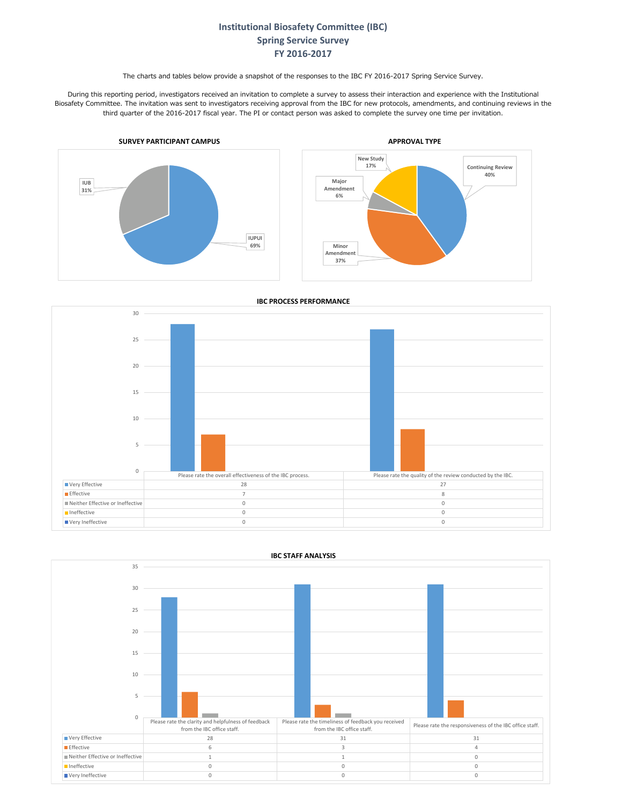## **Institutional Biosafety Committee (IBC) Spring Service Survey FY 2016-2017**

The charts and tables below provide a snapshot of the responses to the IBC FY 2016-2017 Spring Service Survey.

During this reporting period, investigators received an invitation to complete a survey to assess their interaction and experience with the Institutional Biosafety Committee. The invitation was sent to investigators receiving approval from the IBC for new protocols, amendments, and continuing reviews in the third quarter of the 2016-2017 fiscal year. The PI or contact person was asked to complete the survey one time per invitation.

**40%**



**IBC PROCESS PERFORMANCE**





**IBC STAFF ANALYSIS**